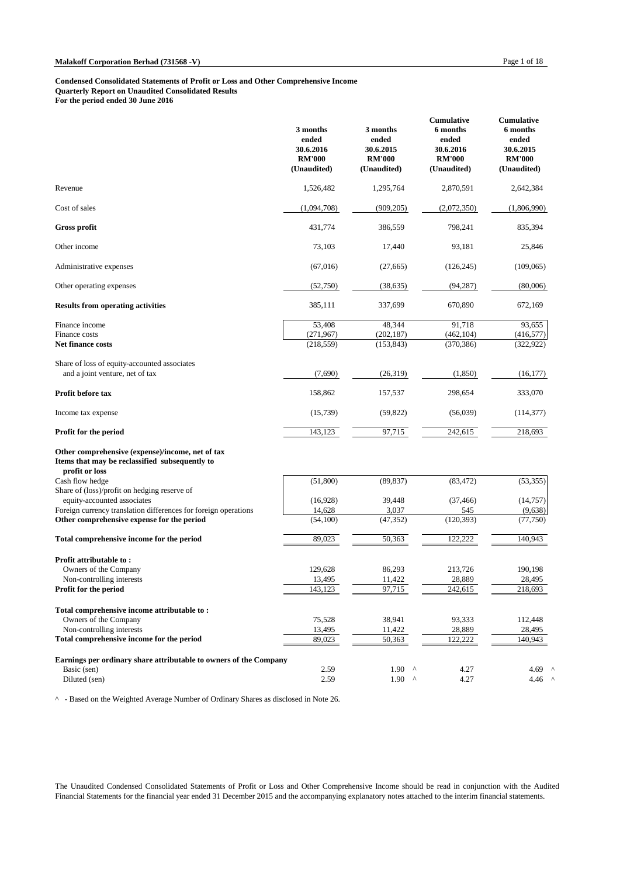#### **Condensed Consolidated Statements of Profit or Loss and Other Comprehensive Income Quarterly Report on Unaudited Consolidated Results For the period ended 30 June 2016**

|                                                                                                                      | 3 months<br>ended<br>30.6.2016<br><b>RM'000</b><br>(Unaudited) | 3 months<br>ended<br>30.6.2015<br><b>RM'000</b><br>(Unaudited) | <b>Cumulative</b><br>6 months<br>ended<br>30.6.2016<br><b>RM'000</b><br>(Unaudited) | <b>Cumulative</b><br>6 months<br>ended<br>30.6.2015<br><b>RM'000</b><br>(Unaudited) |
|----------------------------------------------------------------------------------------------------------------------|----------------------------------------------------------------|----------------------------------------------------------------|-------------------------------------------------------------------------------------|-------------------------------------------------------------------------------------|
| Revenue                                                                                                              | 1,526,482                                                      | 1,295,764                                                      | 2,870,591                                                                           | 2,642,384                                                                           |
| Cost of sales                                                                                                        | (1,094,708)                                                    | (909, 205)                                                     | (2,072,350)                                                                         | (1,806,990)                                                                         |
| <b>Gross profit</b>                                                                                                  | 431,774                                                        | 386,559                                                        | 798,241                                                                             | 835,394                                                                             |
| Other income                                                                                                         | 73,103                                                         | 17,440                                                         | 93,181                                                                              | 25,846                                                                              |
| Administrative expenses                                                                                              | (67,016)                                                       | (27,665)                                                       | (126, 245)                                                                          | (109,065)                                                                           |
| Other operating expenses                                                                                             | (52,750)                                                       | (38, 635)                                                      | (94, 287)                                                                           | (80,006)                                                                            |
| <b>Results from operating activities</b>                                                                             | 385,111                                                        | 337,699                                                        | 670,890                                                                             | 672,169                                                                             |
| Finance income<br>Finance costs                                                                                      | 53,408<br>(271,967)                                            | 48,344<br>(202, 187)                                           | 91,718<br>(462, 104)                                                                | 93,655<br>(416, 577)                                                                |
| <b>Net finance costs</b>                                                                                             | (218, 559)                                                     | (153, 843)                                                     | (370, 386)                                                                          | (322, 922)                                                                          |
| Share of loss of equity-accounted associates<br>and a joint venture, net of tax                                      | (7,690)                                                        | (26,319)                                                       | (1,850)                                                                             | (16, 177)                                                                           |
| Profit before tax                                                                                                    | 158,862                                                        | 157,537                                                        | 298,654                                                                             | 333,070                                                                             |
| Income tax expense                                                                                                   | (15,739)                                                       | (59, 822)                                                      | (56,039)                                                                            | (114, 377)                                                                          |
| <b>Profit for the period</b>                                                                                         | 143,123                                                        | 97,715                                                         | 242,615                                                                             | 218,693                                                                             |
| Other comprehensive (expense)/income, net of tax<br>Items that may be reclassified subsequently to<br>profit or loss |                                                                |                                                                |                                                                                     |                                                                                     |
| Cash flow hedge<br>Share of (loss)/profit on hedging reserve of                                                      | (51,800)                                                       | (89, 837)                                                      | (83, 472)                                                                           | (53, 355)                                                                           |
| equity-accounted associates                                                                                          | (16,928)                                                       | 39,448                                                         | (37, 466)                                                                           | (14,757)                                                                            |
| Foreign currency translation differences for foreign operations                                                      | 14,628                                                         | 3,037                                                          | 545                                                                                 | (9,638)                                                                             |
| Other comprehensive expense for the period                                                                           | (54,100)                                                       | (47, 352)                                                      | (120, 393)                                                                          | (77, 750)                                                                           |
| Total comprehensive income for the period                                                                            | 89,023                                                         | 50,363                                                         | 122,222                                                                             | 140,943                                                                             |
| Profit attributable to:                                                                                              |                                                                |                                                                |                                                                                     |                                                                                     |
| Owners of the Company                                                                                                | 129,628                                                        | 86,293                                                         | 213,726                                                                             | 190,198                                                                             |
| Non-controlling interests                                                                                            | 13,495                                                         | 11,422                                                         | 28,889                                                                              | 28,495                                                                              |
| Profit for the period                                                                                                | 143,123                                                        | 97,715                                                         | 242,615                                                                             | 218,693                                                                             |
| Total comprehensive income attributable to:                                                                          |                                                                |                                                                |                                                                                     |                                                                                     |
| Owners of the Company                                                                                                | 75,528                                                         | 38,941                                                         | 93,333                                                                              | 112,448                                                                             |
| Non-controlling interests                                                                                            | 13,495                                                         | 11,422                                                         | 28,889                                                                              | 28,495                                                                              |
| Total comprehensive income for the period                                                                            | 89,023                                                         | 50,363                                                         | 122,222                                                                             | 140.943                                                                             |
| Earnings per ordinary share attributable to owners of the Company                                                    |                                                                |                                                                |                                                                                     |                                                                                     |
| Basic (sen)                                                                                                          | 2.59                                                           | $1.90$ ^                                                       | 4.27                                                                                | 4.69 $'$                                                                            |
| Diluted (sen)                                                                                                        | 2.59                                                           | $1.90$ ^                                                       | 4.27                                                                                | 4.46                                                                                |

^ - Based on the Weighted Average Number of Ordinary Shares as disclosed in Note 26.

The Unaudited Condensed Consolidated Statements of Profit or Loss and Other Comprehensive Income should be read in conjunction with the Audited Financial Statements for the financial year ended 31 December 2015 and the accompanying explanatory notes attached to the interim financial statements.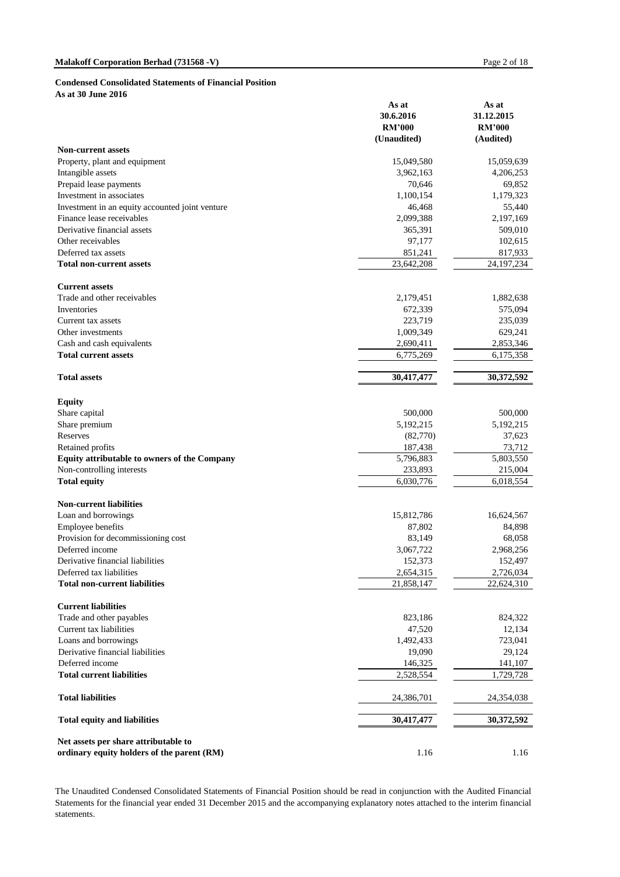**As at 30 June 2016**

|                                                                                    | As at<br>30.6.2016<br><b>RM'000</b><br>(Unaudited) | As at<br>31.12.2015<br><b>RM'000</b><br>(Audited) |
|------------------------------------------------------------------------------------|----------------------------------------------------|---------------------------------------------------|
| <b>Non-current assets</b>                                                          |                                                    |                                                   |
| Property, plant and equipment                                                      | 15,049,580                                         | 15,059,639                                        |
| Intangible assets                                                                  | 3,962,163                                          | 4,206,253                                         |
| Prepaid lease payments                                                             | 70,646                                             | 69,852                                            |
| Investment in associates                                                           | 1,100,154                                          | 1,179,323                                         |
| Investment in an equity accounted joint venture                                    | 46,468                                             | 55,440                                            |
| Finance lease receivables                                                          | 2,099,388                                          | 2,197,169                                         |
| Derivative financial assets                                                        | 365,391                                            | 509,010                                           |
| Other receivables                                                                  | 97,177                                             | 102,615                                           |
| Deferred tax assets                                                                | 851,241                                            | 817,933                                           |
| <b>Total non-current assets</b>                                                    | 23,642,208                                         | 24, 197, 234                                      |
| <b>Current assets</b>                                                              |                                                    |                                                   |
| Trade and other receivables                                                        | 2,179,451                                          | 1,882,638                                         |
| Inventories                                                                        | 672,339                                            | 575,094                                           |
| Current tax assets                                                                 | 223,719                                            | 235,039                                           |
| Other investments                                                                  | 1,009,349                                          | 629,241                                           |
| Cash and cash equivalents                                                          | 2,690,411                                          | 2,853,346                                         |
| <b>Total current assets</b>                                                        | 6,775,269                                          | 6,175,358                                         |
| <b>Total assets</b>                                                                | 30,417,477                                         | 30,372,592                                        |
| <b>Equity</b>                                                                      |                                                    |                                                   |
| Share capital                                                                      | 500,000                                            | 500,000                                           |
| Share premium                                                                      | 5,192,215                                          | 5,192,215                                         |
| Reserves                                                                           | (82,770)                                           | 37,623                                            |
| Retained profits                                                                   | 187,438                                            | 73,712                                            |
| Equity attributable to owners of the Company                                       | 5,796,883                                          | 5,803,550                                         |
| Non-controlling interests                                                          | 233,893                                            | 215,004                                           |
| <b>Total equity</b>                                                                | 6,030,776                                          | 6,018,554                                         |
| <b>Non-current liabilities</b>                                                     |                                                    |                                                   |
| Loan and borrowings                                                                | 15,812,786                                         | 16,624,567                                        |
| Employee benefits                                                                  | 87,802                                             | 84,898                                            |
| Provision for decommissioning cost                                                 | 83,149                                             | 68,058                                            |
| Deferred income                                                                    | 3,067,722                                          | 2,968,256                                         |
| Derivative financial liabilities                                                   | 152,373                                            | 152,497                                           |
| Deferred tax liabilities                                                           | 2,654,315                                          | 2,726,034                                         |
| <b>Total non-current liabilities</b>                                               | 21,858,147                                         | 22,624,310                                        |
| <b>Current liabilities</b>                                                         |                                                    |                                                   |
| Trade and other payables                                                           | 823,186                                            | 824,322                                           |
| Current tax liabilities                                                            | 47,520                                             | 12,134                                            |
| Loans and borrowings                                                               | 1,492,433                                          | 723,041                                           |
| Derivative financial liabilities                                                   | 19,090                                             | 29,124                                            |
| Deferred income                                                                    | 146,325                                            | 141,107                                           |
| <b>Total current liabilities</b>                                                   | 2,528,554                                          | 1,729,728                                         |
| <b>Total liabilities</b>                                                           | 24,386,701                                         | 24,354,038                                        |
| <b>Total equity and liabilities</b>                                                | 30,417,477                                         | 30,372,592                                        |
| Net assets per share attributable to<br>ordinary equity holders of the parent (RM) | 1.16                                               | 1.16                                              |

The Unaudited Condensed Consolidated Statements of Financial Position should be read in conjunction with the Audited Financial Statements for the financial year ended 31 December 2015 and the accompanying explanatory notes attached to the interim financial statements.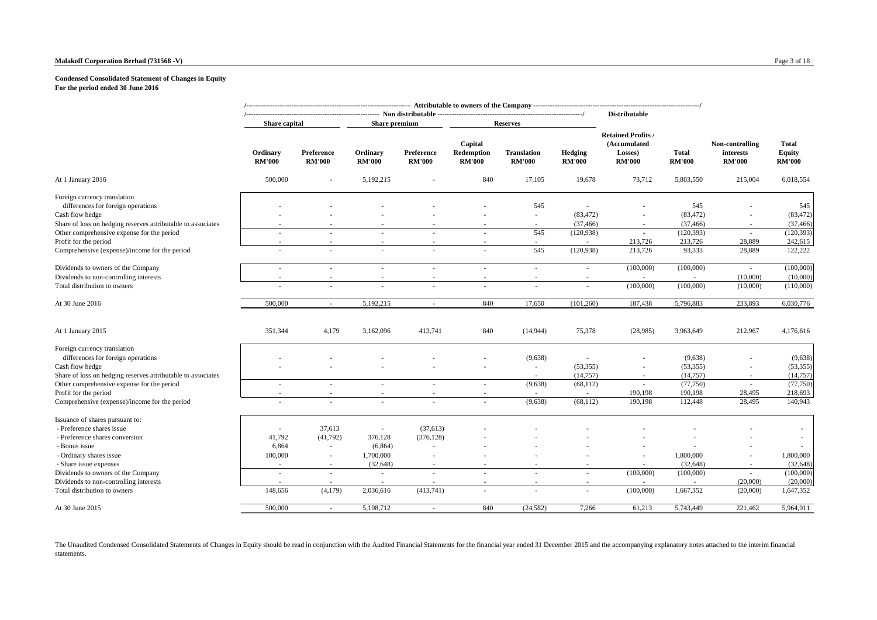#### **Malakoff Corporation Berhad (731568 -V)** Page 3 of 18

#### **Condensed Consolidated Statement of Changes in Equity For the period ended 30 June 2016**

|                                                                                                            | Share capital             |                             | Share premium             | --- Non distributable ---------------------- |                                        | <b>Reserves</b>                     |                          | <b>Distributable</b>                                                  |                               |                                               |                                         |
|------------------------------------------------------------------------------------------------------------|---------------------------|-----------------------------|---------------------------|----------------------------------------------|----------------------------------------|-------------------------------------|--------------------------|-----------------------------------------------------------------------|-------------------------------|-----------------------------------------------|-----------------------------------------|
|                                                                                                            | Ordinary<br><b>RM'000</b> | Preference<br><b>RM'000</b> | Ordinary<br><b>RM'000</b> | Preference<br><b>RM'000</b>                  | Capital<br>Redemption<br><b>RM'000</b> | <b>Translation</b><br><b>RM'000</b> | Hedging<br><b>RM'000</b> | <b>Retained Profits /</b><br>(Accumulated<br>Losses)<br><b>RM'000</b> | <b>Total</b><br><b>RM'000</b> | Non-controlling<br>interests<br><b>RM'000</b> | <b>Total</b><br>Equity<br><b>RM'000</b> |
| At 1 January 2016                                                                                          | 500,000                   |                             | 5,192,215                 |                                              | 840                                    | 17,105                              | 19,678                   | 73,712                                                                | 5,803,550                     | 215,004                                       | 6,018,554                               |
| Foreign currency translation<br>differences for foreign operations<br>Cash flow hedge                      |                           |                             |                           |                                              |                                        | 545<br>×.                           | (83, 472)                |                                                                       | 545<br>(83, 472)              |                                               | 545<br>(83, 472)                        |
| Share of loss on hedging reserves attributable to associates<br>Other comprehensive expense for the period |                           |                             |                           |                                              |                                        | 545                                 | (37, 466)<br>(120, 938)  | $\sim$                                                                | (37, 466)<br>(120, 393)       | ÷                                             | (37, 466)<br>(120, 393)                 |
| Profit for the period<br>Comprehensive (expense)/income for the period                                     |                           |                             |                           |                                              |                                        | 545                                 | ä,<br>(120, 938)         | 213,726<br>213,726                                                    | 213,726<br>93,333             | 28,889<br>28,889                              | 242,615<br>122,222                      |
| Dividends to owners of the Company                                                                         | ÷,                        |                             |                           |                                              |                                        |                                     | $\sim$                   | (100,000)                                                             | (100,000)                     | $\sim$                                        | (100,000)                               |
| Dividends to non-controlling interests<br>Total distribution to owners                                     | ä,                        |                             |                           |                                              |                                        |                                     | ä,                       | (100,000)                                                             | (100,000)                     | (10,000)<br>(10,000)                          | (10,000)<br>(110,000)                   |
| At 30 June 2016                                                                                            | 500,000                   | $\sim$                      | 5,192,215                 | $\sim$                                       | 840                                    | 17,650                              | (101, 260)               | 187,438                                                               | 5,796,883                     | 233,893                                       | 6,030,776                               |
| At 1 January 2015                                                                                          | 351,344                   | 4,179                       | 3,162,096                 | 413,741                                      | 840                                    | (14, 944)                           | 75,378                   | (28,985)                                                              | 3,963,649                     | 212,967                                       | 4,176,616                               |
| Foreign currency translation<br>differences for foreign operations                                         |                           |                             |                           |                                              |                                        | (9,638)                             |                          |                                                                       | (9,638)                       | ٠                                             | (9,638)                                 |
| Cash flow hedge<br>Share of loss on hedging reserves attributable to associates                            |                           |                             |                           |                                              |                                        | $\sim$<br>$\overline{\phantom{a}}$  | (53, 355)<br>(14, 757)   | $\sim$                                                                | (53, 355)<br>(14, 757)        | $\sim$                                        | (53, 355)<br>(14, 757)                  |
| Other comprehensive expense for the period<br>Profit for the period                                        | ä,<br>$\sim$              |                             |                           |                                              | $\sim$                                 | (9,638)<br>$\sim$                   | (68, 112)<br>$\sim$      | $\sim$<br>190,198                                                     | (77, 750)<br>190,198          | $\sim$<br>28,495                              | (77, 750)<br>218,693                    |
| Comprehensive (expense)/income for the period                                                              | ä,                        |                             | $\sim$                    |                                              | ×                                      | (9,638)                             | (68, 112)                | 190,198                                                               | 112,448                       | 28,495                                        | 140,943                                 |
| Issuance of shares pursuant to:<br>- Preference shares issue                                               | ÷,                        | 37,613                      | $\sim$                    | (37,613)                                     |                                        |                                     |                          |                                                                       |                               |                                               |                                         |
| - Preference shares conversion<br>- Bonus issue                                                            | 41,792<br>6,864           | (41,792)<br>×               | 376,128<br>(6,864)        | (376, 128)<br>$\sim$                         |                                        |                                     |                          |                                                                       |                               |                                               |                                         |
| - Ordinary shares issue<br>- Share issue expenses                                                          | 100,000<br>$\sim$         | ٠<br>$\sim$                 | 1,700,000<br>(32, 648)    |                                              |                                        |                                     |                          |                                                                       | 1,800,000<br>(32, 648)        | $\sim$                                        | 1,800,000<br>(32, 648)                  |
| Dividends to owners of the Company<br>Dividends to non-controlling interests                               | $\sim$                    | ÷.                          | $\sim$                    | $\sim$                                       | $\sim$                                 | ×.                                  | ×.                       | (100,000)                                                             | (100,000)                     | $\sim$<br>(20,000)                            | (100,000)<br>(20,000)                   |
| Total distribution to owners                                                                               | 148,656                   | (4,179)                     | 2,036,616                 | (413,741)                                    | $\sim$                                 | ×.                                  | ä,                       | (100,000)                                                             | 1,667,352                     | (20,000)                                      | 1,647,352                               |
| At 30 June 2015                                                                                            | 500,000                   | $\sim$                      | 5,198,712                 | $\sim$                                       | 840                                    | (24, 582)                           | 7,266                    | 61,213                                                                | 5,743,449                     | 221,462                                       | 5,964,911                               |

statements. The Unaudited Condensed Consolidated Statements of Changes in Equity should be read in conjunction with the Audited Financial Statements for the financial year ended 31 December 2015 and the accompanying explanatory notes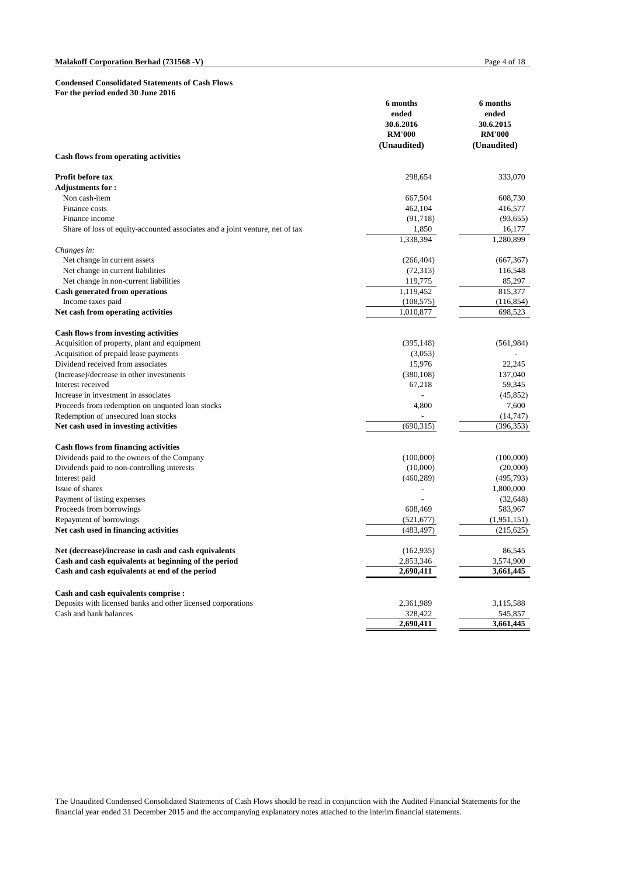|                                                                              | 6 months<br>ended<br>30.6.2016 | 6 months<br>ended<br>30.6.2015<br><b>RM'000</b> |  |
|------------------------------------------------------------------------------|--------------------------------|-------------------------------------------------|--|
|                                                                              | <b>RM'000</b>                  |                                                 |  |
|                                                                              | (Unaudited)                    | (Unaudited)                                     |  |
| Cash flows from operating activities                                         |                                |                                                 |  |
| <b>Profit before tax</b>                                                     | 298.654                        | 333,070                                         |  |
| <b>Adjustments for:</b>                                                      |                                |                                                 |  |
| Non cash-item                                                                | 667,504                        | 608,730                                         |  |
| Finance costs                                                                | 462,104                        | 416,577                                         |  |
| Finance income                                                               | (91, 718)                      | (93, 655)                                       |  |
| Share of loss of equity-accounted associates and a joint venture, net of tax | 1,850                          | 16,177                                          |  |
|                                                                              | 1,338,394                      | 1,280,899                                       |  |
| Changes in:                                                                  |                                |                                                 |  |
| Net change in current assets                                                 | (266, 404)                     | (667, 367)                                      |  |
| Net change in current liabilities                                            | (72, 313)                      | 116,548                                         |  |
| Net change in non-current liabilities                                        | 119,775<br>1,119,452           | 85,297<br>815,377                               |  |
| Cash generated from operations                                               |                                |                                                 |  |
| Income taxes paid                                                            | (108, 575)                     | (116, 854)                                      |  |
| Net cash from operating activities                                           | 1,010,877                      | 698,523                                         |  |
| <b>Cash flows from investing activities</b>                                  |                                |                                                 |  |
| Acquisition of property, plant and equipment                                 | (395, 148)                     | (561, 984)                                      |  |
| Acquisition of prepaid lease payments                                        | (3,053)                        |                                                 |  |
| Dividend received from associates                                            | 15,976                         | 22.245                                          |  |
| (Increase)/decrease in other investments                                     | (380, 108)                     | 137,040                                         |  |
| Interest received                                                            | 67,218                         | 59,345                                          |  |
| Increase in investment in associates                                         |                                | (45, 852)                                       |  |
| Proceeds from redemption on unquoted loan stocks                             | 4,800                          | 7,600                                           |  |
| Redemption of unsecured loan stocks                                          |                                | (14, 747)                                       |  |
| Net cash used in investing activities                                        | (690,315)                      | (396, 353)                                      |  |
| <b>Cash flows from financing activities</b>                                  |                                |                                                 |  |
| Dividends paid to the owners of the Company                                  | (100,000)                      | (100,000)                                       |  |
| Dividends paid to non-controlling interests                                  | (10,000)                       | (20,000)                                        |  |
| Interest paid                                                                | (460, 289)                     | (495, 793)                                      |  |
| Issue of shares                                                              |                                | 1,800,000                                       |  |
| Payment of listing expenses                                                  |                                | (32, 648)                                       |  |
| Proceeds from borrowings                                                     | 608,469                        | 583,967                                         |  |
| Repayment of borrowings                                                      | (521, 677)                     | (1,951,151)                                     |  |
| Net cash used in financing activities                                        | (483, 497)                     | (215, 625)                                      |  |
|                                                                              |                                |                                                 |  |
| Net (decrease)/increase in cash and cash equivalents                         | (162, 935)                     | 86,545                                          |  |
| Cash and cash equivalents at beginning of the period                         | 2,853,346                      | 3,574,900                                       |  |
| Cash and cash equivalents at end of the period                               | 2,690,411                      | 3,661,445                                       |  |
| Cash and cash equivalents comprise :                                         |                                |                                                 |  |
| Deposits with licensed banks and other licensed corporations                 | 2,361,989                      | 3,115,588                                       |  |
| Cash and bank balances                                                       | 328,422                        | 545,857                                         |  |
|                                                                              | 2,690,411                      | 3,661,445                                       |  |

The Unaudited Condensed Consolidated Statements of Cash Flows should be read in conjunction with the Audited Financial Statements for the financial year ended 31 December 2015 and the accompanying explanatory notes attached to the interim financial statements.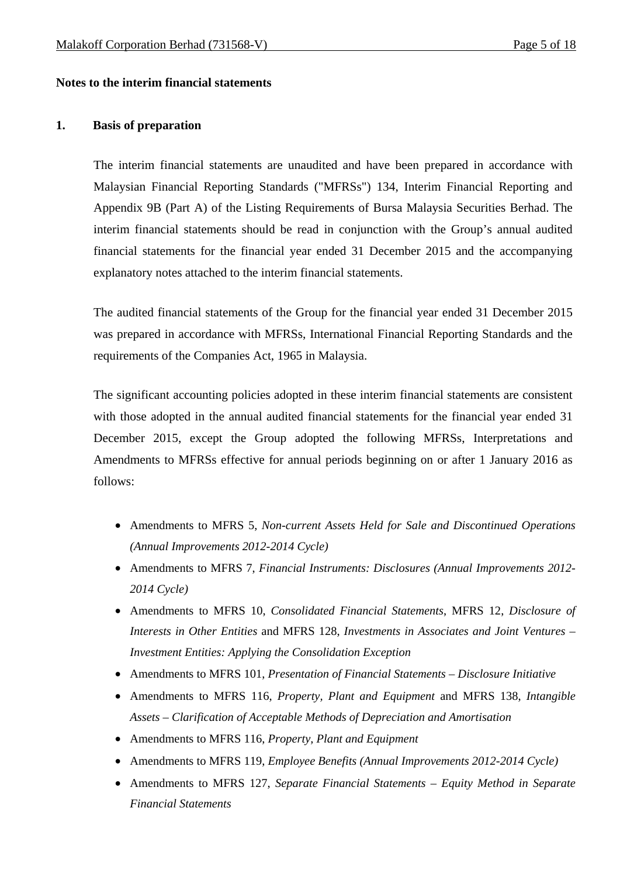### **Notes to the interim financial statements**

### **1. Basis of preparation**

The interim financial statements are unaudited and have been prepared in accordance with Malaysian Financial Reporting Standards ("MFRSs") 134, Interim Financial Reporting and Appendix 9B (Part A) of the Listing Requirements of Bursa Malaysia Securities Berhad. The interim financial statements should be read in conjunction with the Group's annual audited financial statements for the financial year ended 31 December 2015 and the accompanying explanatory notes attached to the interim financial statements.

The audited financial statements of the Group for the financial year ended 31 December 2015 was prepared in accordance with MFRSs, International Financial Reporting Standards and the requirements of the Companies Act, 1965 in Malaysia.

The significant accounting policies adopted in these interim financial statements are consistent with those adopted in the annual audited financial statements for the financial year ended 31 December 2015, except the Group adopted the following MFRSs, Interpretations and Amendments to MFRSs effective for annual periods beginning on or after 1 January 2016 as follows:

- Amendments to MFRS 5, *Non-current Assets Held for Sale and Discontinued Operations (Annual Improvements 2012-2014 Cycle)*
- Amendments to MFRS 7, *Financial Instruments: Disclosures (Annual Improvements 2012- 2014 Cycle)*
- Amendments to MFRS 10, *Consolidated Financial Statements*, MFRS 12, *Disclosure of Interests in Other Entities* and MFRS 128, *Investments in Associates and Joint Ventures – Investment Entities: Applying the Consolidation Exception*
- Amendments to MFRS 101, *Presentation of Financial Statements Disclosure Initiative*
- Amendments to MFRS 116, *Property, Plant and Equipment* and MFRS 138, *Intangible Assets – Clarification of Acceptable Methods of Depreciation and Amortisation*
- Amendments to MFRS 116, *Property, Plant and Equipment*
- Amendments to MFRS 119, *Employee Benefits (Annual Improvements 2012-2014 Cycle)*
- Amendments to MFRS 127, *Separate Financial Statements Equity Method in Separate Financial Statements*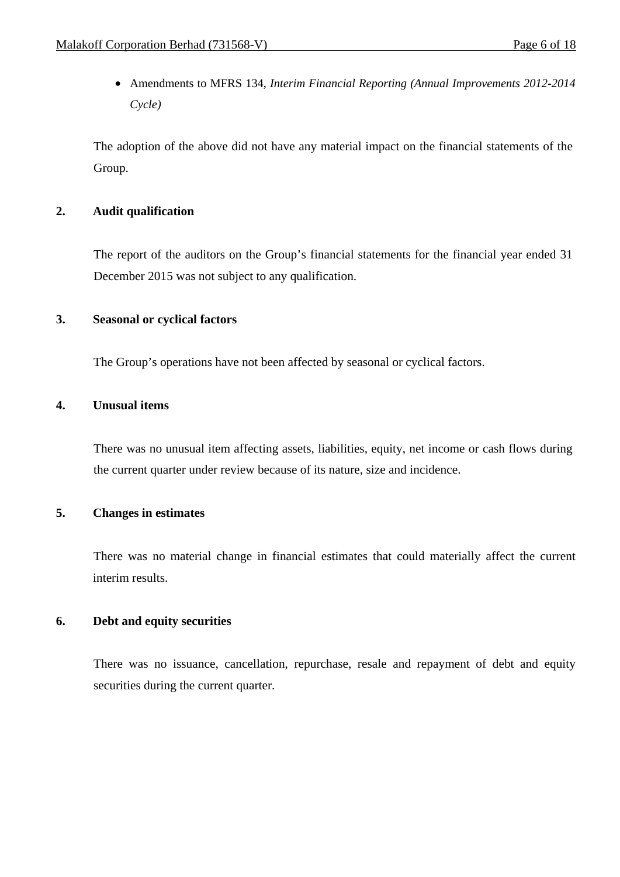Amendments to MFRS 134, *Interim Financial Reporting (Annual Improvements 2012-2014 Cycle)*

The adoption of the above did not have any material impact on the financial statements of the Group.

## **2. Audit qualification**

The report of the auditors on the Group's financial statements for the financial year ended 31 December 2015 was not subject to any qualification.

## **3. Seasonal or cyclical factors**

The Group's operations have not been affected by seasonal or cyclical factors.

## **4. Unusual items**

There was no unusual item affecting assets, liabilities, equity, net income or cash flows during the current quarter under review because of its nature, size and incidence.

## **5. Changes in estimates**

 There was no material change in financial estimates that could materially affect the current interim results.

## **6. Debt and equity securities**

There was no issuance, cancellation, repurchase, resale and repayment of debt and equity securities during the current quarter.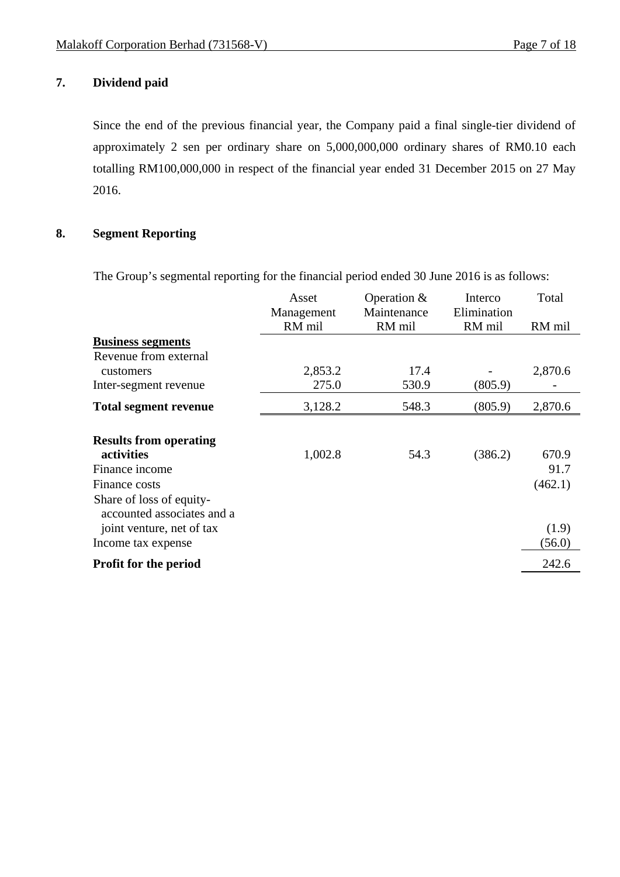# **7. Dividend paid**

Since the end of the previous financial year, the Company paid a final single-tier dividend of approximately 2 sen per ordinary share on 5,000,000,000 ordinary shares of RM0.10 each totalling RM100,000,000 in respect of the financial year ended 31 December 2015 on 27 May 2016.

## **8. Segment Reporting**

The Group's segmental reporting for the financial period ended 30 June 2016 is as follows:

|                                                                                                           | Asset<br>Management<br>RM mil | Operation &<br>Maintenance<br>RM mil | Interco<br>Elimination<br>RM mil | Total<br>RM mil          |
|-----------------------------------------------------------------------------------------------------------|-------------------------------|--------------------------------------|----------------------------------|--------------------------|
| <b>Business segments</b>                                                                                  |                               |                                      |                                  |                          |
| Revenue from external                                                                                     |                               |                                      |                                  |                          |
| customers                                                                                                 | 2,853.2                       | 17.4                                 |                                  | 2,870.6                  |
| Inter-segment revenue                                                                                     | 275.0                         | 530.9                                | (805.9)                          |                          |
| <b>Total segment revenue</b>                                                                              | 3,128.2                       | 548.3                                | (805.9)                          | 2,870.6                  |
| <b>Results from operating</b><br>activities<br>Finance income<br>Finance costs                            | 1,002.8                       | 54.3                                 | (386.2)                          | 670.9<br>91.7<br>(462.1) |
| Share of loss of equity-<br>accounted associates and a<br>joint venture, net of tax<br>Income tax expense |                               |                                      |                                  | (1.9)<br>(56.0)          |
| <b>Profit for the period</b>                                                                              |                               |                                      |                                  | 242.6                    |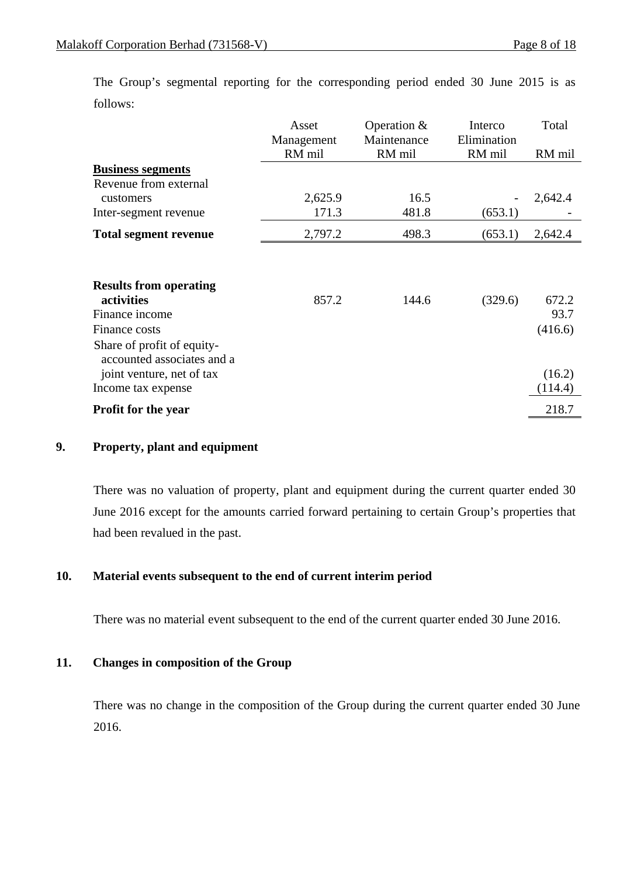|                                                          | Asset      | Operation $&$ | Interco     | Total   |
|----------------------------------------------------------|------------|---------------|-------------|---------|
|                                                          | Management | Maintenance   | Elimination |         |
|                                                          | RM mil     | RM mil        | RM mil      | RM mil  |
| <b>Business segments</b>                                 |            |               |             |         |
| Revenue from external                                    |            |               |             |         |
| customers                                                | 2,625.9    | 16.5          |             | 2,642.4 |
| Inter-segment revenue                                    | 171.3      | 481.8         | (653.1)     |         |
| <b>Total segment revenue</b>                             | 2,797.2    | 498.3         | (653.1)     | 2,642.4 |
| <b>Results from operating</b>                            |            |               |             |         |
| activities                                               | 857.2      | 144.6         | (329.6)     | 672.2   |
| Finance income                                           |            |               |             | 93.7    |
| Finance costs                                            |            |               |             | (416.6) |
| Share of profit of equity-<br>accounted associates and a |            |               |             |         |
| joint venture, net of tax                                |            |               |             | (16.2)  |
| Income tax expense                                       |            |               |             | (114.4) |
| <b>Profit for the year</b>                               |            |               |             | 218.7   |

 The Group's segmental reporting for the corresponding period ended 30 June 2015 is as follows:

### **9. Property, plant and equipment**

 There was no valuation of property, plant and equipment during the current quarter ended 30 June 2016 except for the amounts carried forward pertaining to certain Group's properties that had been revalued in the past.

## **10. Material events subsequent to the end of current interim period**

There was no material event subsequent to the end of the current quarter ended 30 June 2016.

## **11. Changes in composition of the Group**

There was no change in the composition of the Group during the current quarter ended 30 June 2016.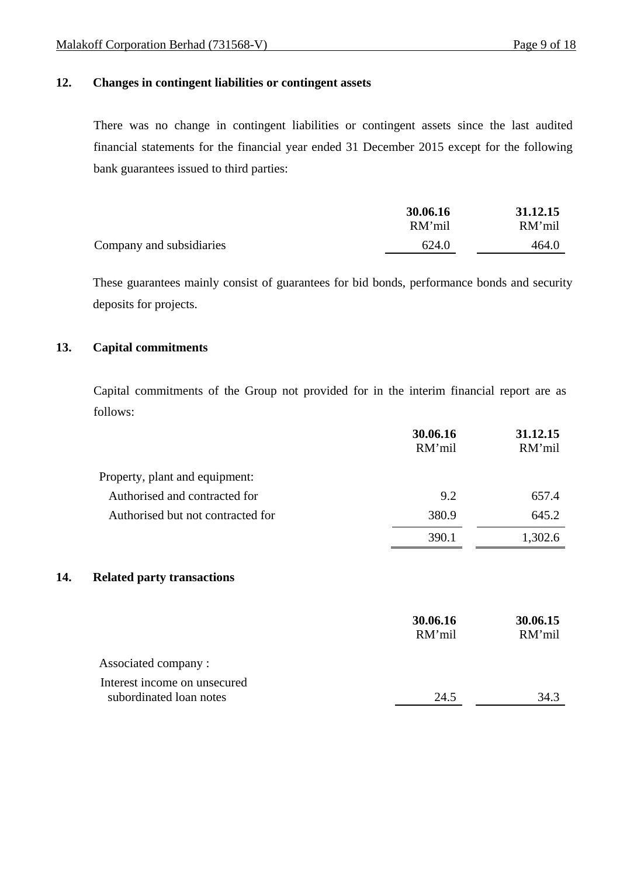## **12. Changes in contingent liabilities or contingent assets**

There was no change in contingent liabilities or contingent assets since the last audited financial statements for the financial year ended 31 December 2015 except for the following bank guarantees issued to third parties:

|                          | 30.06.16 | 31.12.15 |
|--------------------------|----------|----------|
|                          | RM'mil   | RM'mil   |
| Company and subsidiaries | 624.0    | 464.0    |

These guarantees mainly consist of guarantees for bid bonds, performance bonds and security deposits for projects.

## **13. Capital commitments**

 Capital commitments of the Group not provided for in the interim financial report are as follows:

|                                          | 30.06.16<br>RM'mil | 31.12.15<br>RM'mil |
|------------------------------------------|--------------------|--------------------|
| Property, plant and equipment:           |                    |                    |
| Authorised and contracted for            | 9.2                | 657.4              |
| Authorised but not contracted for        | 380.9              | 645.2              |
|                                          | 390.1              | 1,302.6            |
| 14.<br><b>Related party transactions</b> |                    |                    |
|                                          | 30.06.16<br>RM'mil | 30.06.15<br>RM'mil |
| Associated company:                      |                    |                    |
| Interest income on unsecured             |                    |                    |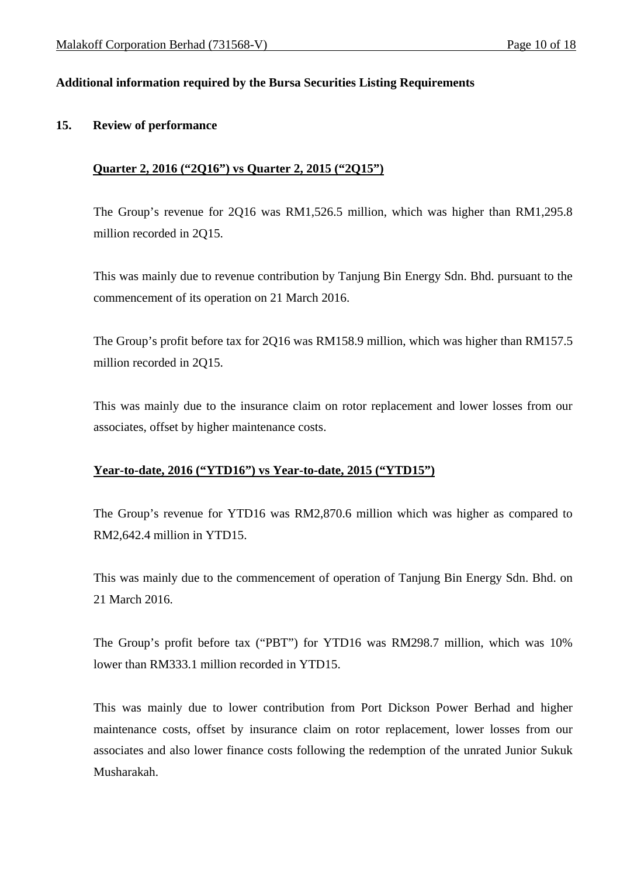## **Additional information required by the Bursa Securities Listing Requirements**

### **15. Review of performance**

## **Quarter 2, 2016 ("2Q16") vs Quarter 2, 2015 ("2Q15")**

The Group's revenue for 2Q16 was RM1,526.5 million, which was higher than RM1,295.8 million recorded in 2Q15.

This was mainly due to revenue contribution by Tanjung Bin Energy Sdn. Bhd. pursuant to the commencement of its operation on 21 March 2016.

The Group's profit before tax for 2Q16 was RM158.9 million, which was higher than RM157.5 million recorded in 2Q15.

This was mainly due to the insurance claim on rotor replacement and lower losses from our associates, offset by higher maintenance costs.

## **Year-to-date, 2016 ("YTD16") vs Year-to-date, 2015 ("YTD15")**

The Group's revenue for YTD16 was RM2,870.6 million which was higher as compared to RM2,642.4 million in YTD15.

This was mainly due to the commencement of operation of Tanjung Bin Energy Sdn. Bhd. on 21 March 2016.

The Group's profit before tax ("PBT") for YTD16 was RM298.7 million, which was 10% lower than RM333.1 million recorded in YTD15.

This was mainly due to lower contribution from Port Dickson Power Berhad and higher maintenance costs, offset by insurance claim on rotor replacement, lower losses from our associates and also lower finance costs following the redemption of the unrated Junior Sukuk Musharakah.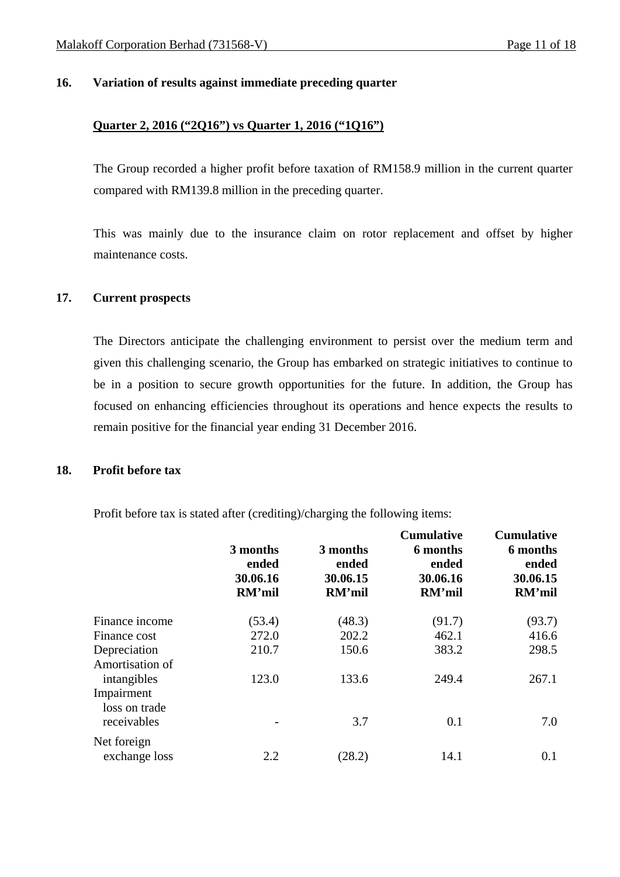### **16. Variation of results against immediate preceding quarter**

# **Quarter 2, 2016 ("2Q16") vs Quarter 1, 2016 ("1Q16")**

The Group recorded a higher profit before taxation of RM158.9 million in the current quarter compared with RM139.8 million in the preceding quarter.

This was mainly due to the insurance claim on rotor replacement and offset by higher maintenance costs.

### **17. Current prospects**

 The Directors anticipate the challenging environment to persist over the medium term and given this challenging scenario, the Group has embarked on strategic initiatives to continue to be in a position to secure growth opportunities for the future. In addition, the Group has focused on enhancing efficiencies throughout its operations and hence expects the results to remain positive for the financial year ending 31 December 2016.

#### **18. Profit before tax**

Profit before tax is stated after (crediting)/charging the following items:

|                                | 3 months<br>ended<br>30.06.16<br>RM'mil | 3 months<br>ended<br>30.06.15<br>RM'mil | <b>Cumulative</b><br>6 months<br>ended<br>30.06.16<br>RM'mil | <b>Cumulative</b><br>6 months<br>ended<br>30.06.15<br>RM'mil |
|--------------------------------|-----------------------------------------|-----------------------------------------|--------------------------------------------------------------|--------------------------------------------------------------|
| Finance income                 | (53.4)                                  | (48.3)                                  | (91.7)                                                       | (93.7)                                                       |
| Finance cost                   | 272.0                                   | 202.2                                   | 462.1                                                        | 416.6                                                        |
| Depreciation                   | 210.7                                   | 150.6                                   | 383.2                                                        | 298.5                                                        |
| Amortisation of<br>intangibles | 123.0                                   | 133.6                                   | 249.4                                                        | 267.1                                                        |
| Impairment                     |                                         |                                         |                                                              |                                                              |
| loss on trade<br>receivables   |                                         | 3.7                                     | 0.1                                                          | 7.0                                                          |
| Net foreign<br>exchange loss   | 2.2                                     | (28.2)                                  | 14.1                                                         | 0.1                                                          |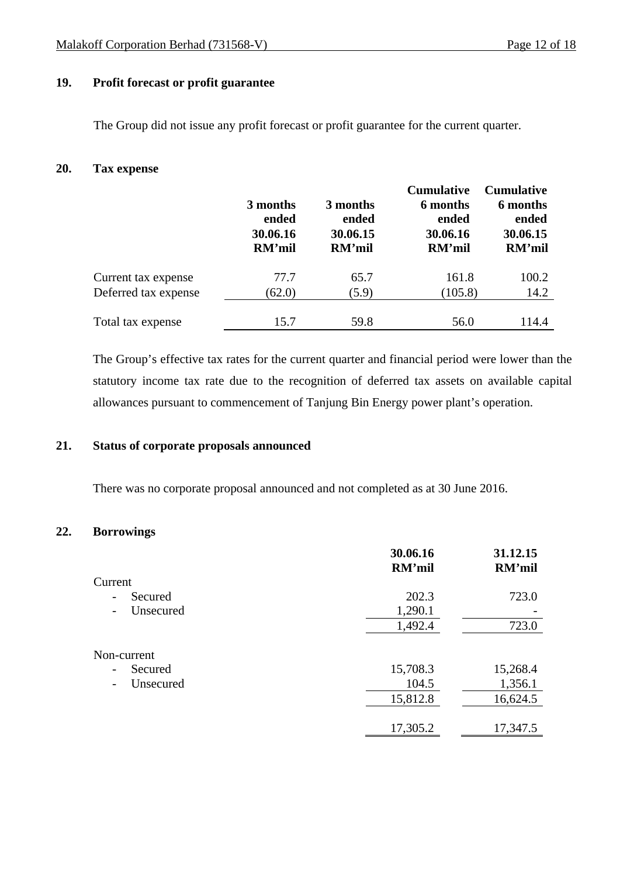## **19. Profit forecast or profit guarantee**

The Group did not issue any profit forecast or profit guarantee for the current quarter.

## **20. Tax expense**

|                      |          |          | <b>Cumulative</b> | <b>Cumulative</b> |
|----------------------|----------|----------|-------------------|-------------------|
|                      | 3 months | 3 months | 6 months          | 6 months          |
|                      | ended    | ended    | ended             | ended             |
|                      | 30.06.16 | 30.06.15 | 30.06.16          | 30.06.15          |
|                      | RM'mil   | RM'mil   | RM'mil            | RM'mil            |
| Current tax expense  | 77.7     | 65.7     | 161.8             | 100.2             |
| Deferred tax expense | (62.0)   | (5.9)    | (105.8)           | 14.2              |
|                      |          |          |                   |                   |
| Total tax expense    | 15.7     | 59.8     | 56.0              | 114.4             |

The Group's effective tax rates for the current quarter and financial period were lower than the statutory income tax rate due to the recognition of deferred tax assets on available capital allowances pursuant to commencement of Tanjung Bin Energy power plant's operation.

### **21. Status of corporate proposals announced**

There was no corporate proposal announced and not completed as at 30 June 2016.

## **22. Borrowings**

|                                       | 30.06.16<br>RM'mil | 31.12.15<br>RM'mil |
|---------------------------------------|--------------------|--------------------|
| Current                               |                    |                    |
| Secured<br>$\overline{\phantom{0}}$   | 202.3              | 723.0              |
| Unsecured<br>$\overline{\phantom{a}}$ | 1,290.1            |                    |
|                                       | 1,492.4            | 723.0              |
| Non-current                           |                    |                    |
| Secured<br>$\overline{\phantom{0}}$   | 15,708.3           | 15,268.4           |
| Unsecured                             | 104.5              | 1,356.1            |
|                                       | 15,812.8           | 16,624.5           |
|                                       | 17,305.2           | 17,347.5           |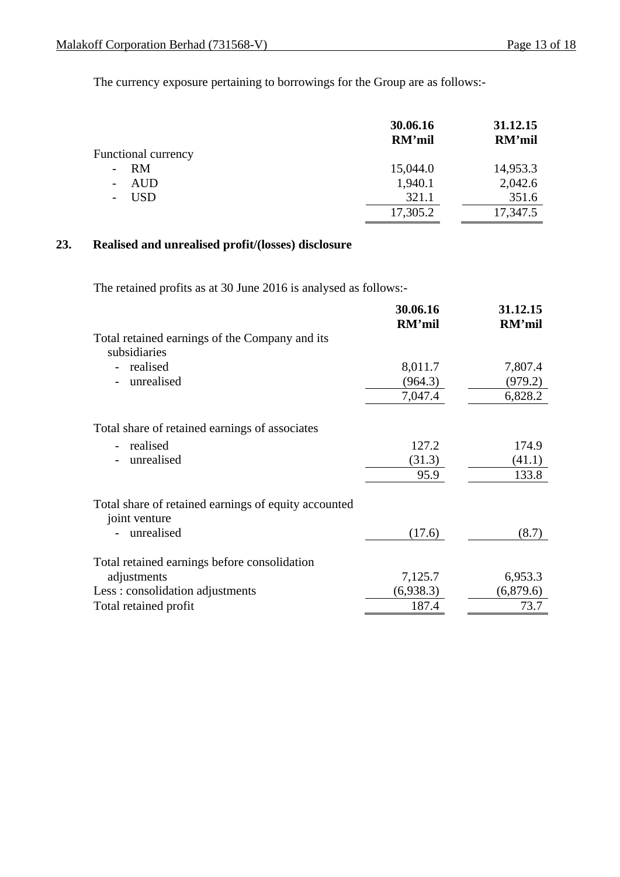The currency exposure pertaining to borrowings for the Group are as follows:-

|                                | 30.06.16<br>RM'mil | 31.12.15<br>RM'mil |
|--------------------------------|--------------------|--------------------|
| <b>Functional currency</b>     |                    |                    |
| RM<br>$\overline{\phantom{a}}$ | 15,044.0           | 14,953.3           |
| AUD<br>$\sim$                  | 1,940.1            | 2,042.6            |
| USD                            | 321.1              | 351.6              |
|                                | 17,305.2           | 17,347.5           |

## **23. Realised and unrealised profit/(losses) disclosure**

The retained profits as at 30 June 2016 is analysed as follows:-

|                                                                       | 30.06.16<br>RM'mil | 31.12.15<br>RM'mil |
|-----------------------------------------------------------------------|--------------------|--------------------|
| Total retained earnings of the Company and its<br>subsidiaries        |                    |                    |
| realised                                                              | 8,011.7            | 7,807.4            |
| unrealised                                                            | (964.3)            | (979.2)            |
|                                                                       | 7,047.4            | 6,828.2            |
| Total share of retained earnings of associates                        |                    |                    |
| realised                                                              | 127.2              | 174.9              |
| unrealised                                                            | (31.3)             | (41.1)             |
|                                                                       | 95.9               | 133.8              |
| Total share of retained earnings of equity accounted<br>joint venture |                    |                    |
| unrealised                                                            | (17.6)             | (8.7)              |
| Total retained earnings before consolidation                          |                    |                    |
| adjustments                                                           | 7,125.7            | 6,953.3            |
| Less: consolidation adjustments                                       | (6,938.3)          | (6,879.6)          |
| Total retained profit                                                 | 187.4              | 73.7               |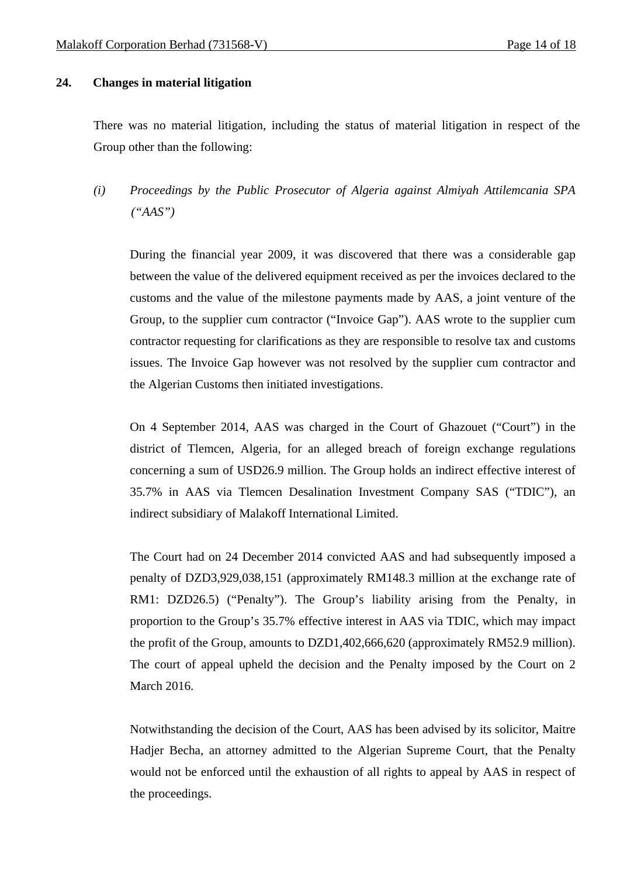#### **24. Changes in material litigation**

There was no material litigation, including the status of material litigation in respect of the Group other than the following:

*(i) Proceedings by the Public Prosecutor of Algeria against Almiyah Attilemcania SPA ("AAS")* 

During the financial year 2009, it was discovered that there was a considerable gap between the value of the delivered equipment received as per the invoices declared to the customs and the value of the milestone payments made by AAS, a joint venture of the Group, to the supplier cum contractor ("Invoice Gap"). AAS wrote to the supplier cum contractor requesting for clarifications as they are responsible to resolve tax and customs issues. The Invoice Gap however was not resolved by the supplier cum contractor and the Algerian Customs then initiated investigations.

On 4 September 2014, AAS was charged in the Court of Ghazouet ("Court") in the district of Tlemcen, Algeria, for an alleged breach of foreign exchange regulations concerning a sum of USD26.9 million. The Group holds an indirect effective interest of 35.7% in AAS via Tlemcen Desalination Investment Company SAS ("TDIC"), an indirect subsidiary of Malakoff International Limited.

The Court had on 24 December 2014 convicted AAS and had subsequently imposed a penalty of DZD3,929,038,151 (approximately RM148.3 million at the exchange rate of RM1: DZD26.5) ("Penalty"). The Group's liability arising from the Penalty, in proportion to the Group's 35.7% effective interest in AAS via TDIC, which may impact the profit of the Group, amounts to DZD1,402,666,620 (approximately RM52.9 million). The court of appeal upheld the decision and the Penalty imposed by the Court on 2 March 2016.

Notwithstanding the decision of the Court, AAS has been advised by its solicitor, Maitre Hadjer Becha, an attorney admitted to the Algerian Supreme Court, that the Penalty would not be enforced until the exhaustion of all rights to appeal by AAS in respect of the proceedings.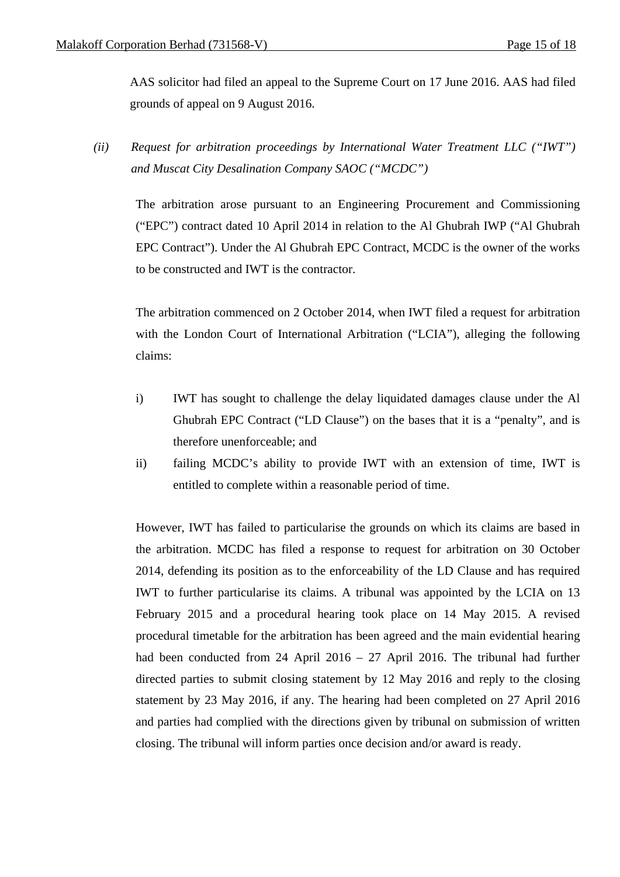AAS solicitor had filed an appeal to the Supreme Court on 17 June 2016. AAS had filed grounds of appeal on 9 August 2016.

*(ii) Request for arbitration proceedings by International Water Treatment LLC ("IWT") and Muscat City Desalination Company SAOC ("MCDC")* 

The arbitration arose pursuant to an Engineering Procurement and Commissioning ("EPC") contract dated 10 April 2014 in relation to the Al Ghubrah IWP ("Al Ghubrah EPC Contract"). Under the Al Ghubrah EPC Contract, MCDC is the owner of the works to be constructed and IWT is the contractor.

The arbitration commenced on 2 October 2014, when IWT filed a request for arbitration with the London Court of International Arbitration ("LCIA"), alleging the following claims:

- i) IWT has sought to challenge the delay liquidated damages clause under the Al Ghubrah EPC Contract ("LD Clause") on the bases that it is a "penalty", and is therefore unenforceable; and
- ii) failing MCDC's ability to provide IWT with an extension of time, IWT is entitled to complete within a reasonable period of time.

However, IWT has failed to particularise the grounds on which its claims are based in the arbitration. MCDC has filed a response to request for arbitration on 30 October 2014, defending its position as to the enforceability of the LD Clause and has required IWT to further particularise its claims. A tribunal was appointed by the LCIA on 13 February 2015 and a procedural hearing took place on 14 May 2015. A revised procedural timetable for the arbitration has been agreed and the main evidential hearing had been conducted from 24 April 2016 – 27 April 2016. The tribunal had further directed parties to submit closing statement by 12 May 2016 and reply to the closing statement by 23 May 2016, if any. The hearing had been completed on 27 April 2016 and parties had complied with the directions given by tribunal on submission of written closing. The tribunal will inform parties once decision and/or award is ready.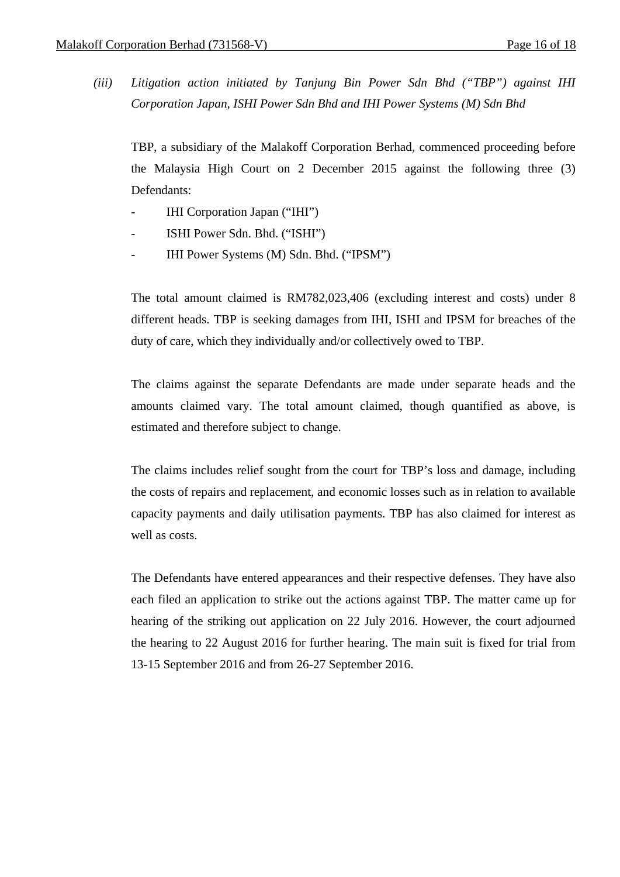*(iii) Litigation action initiated by Tanjung Bin Power Sdn Bhd ("TBP") against IHI Corporation Japan, ISHI Power Sdn Bhd and IHI Power Systems (M) Sdn Bhd* 

TBP, a subsidiary of the Malakoff Corporation Berhad, commenced proceeding before the Malaysia High Court on 2 December 2015 against the following three (3) Defendants:

- IHI Corporation Japan ("IHI")
- ISHI Power Sdn. Bhd. ("ISHI")
- IHI Power Systems (M) Sdn. Bhd. ("IPSM")

The total amount claimed is RM782,023,406 (excluding interest and costs) under 8 different heads. TBP is seeking damages from IHI, ISHI and IPSM for breaches of the duty of care, which they individually and/or collectively owed to TBP.

The claims against the separate Defendants are made under separate heads and the amounts claimed vary. The total amount claimed, though quantified as above, is estimated and therefore subject to change.

The claims includes relief sought from the court for TBP's loss and damage, including the costs of repairs and replacement, and economic losses such as in relation to available capacity payments and daily utilisation payments. TBP has also claimed for interest as well as costs.

The Defendants have entered appearances and their respective defenses. They have also each filed an application to strike out the actions against TBP. The matter came up for hearing of the striking out application on 22 July 2016. However, the court adjourned the hearing to 22 August 2016 for further hearing. The main suit is fixed for trial from 13-15 September 2016 and from 26-27 September 2016.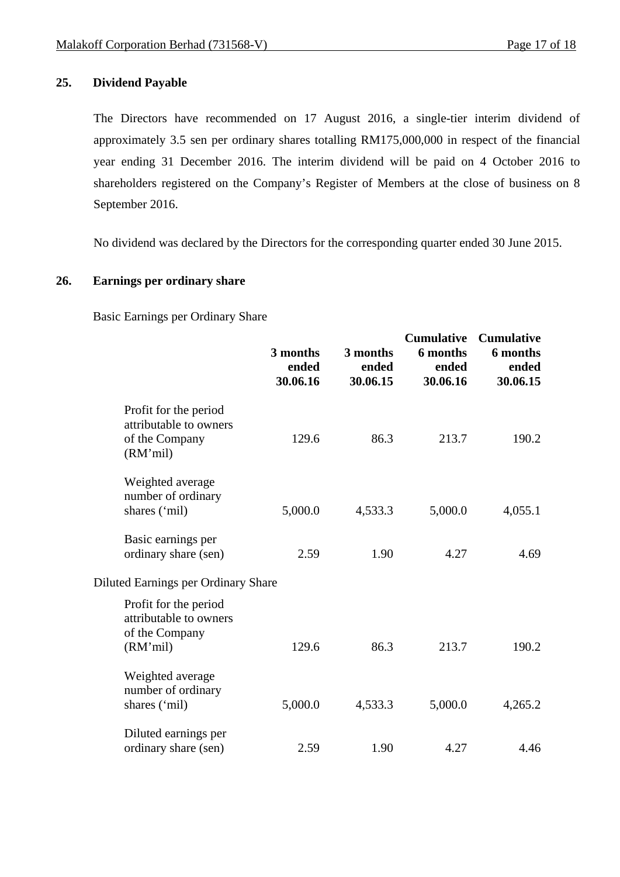## **25. Dividend Payable**

The Directors have recommended on 17 August 2016, a single-tier interim dividend of approximately 3.5 sen per ordinary shares totalling RM175,000,000 in respect of the financial year ending 31 December 2016. The interim dividend will be paid on 4 October 2016 to shareholders registered on the Company's Register of Members at the close of business on 8 September 2016.

No dividend was declared by the Directors for the corresponding quarter ended 30 June 2015.

## **26. Earnings per ordinary share**

Basic Earnings per Ordinary Share

|                                                                               | 3 months<br>ended<br>30.06.16 | 3 months<br>ended<br>30.06.15 | <b>Cumulative</b><br>6 months<br>ended<br>30.06.16 | <b>Cumulative</b><br>6 months<br>ended<br>30.06.15 |
|-------------------------------------------------------------------------------|-------------------------------|-------------------------------|----------------------------------------------------|----------------------------------------------------|
| Profit for the period<br>attributable to owners<br>of the Company<br>(RM'mil) | 129.6                         | 86.3                          | 213.7                                              | 190.2                                              |
| Weighted average<br>number of ordinary<br>shares ('mil)                       | 5,000.0                       | 4,533.3                       | 5,000.0                                            | 4,055.1                                            |
| Basic earnings per<br>ordinary share (sen)                                    | 2.59                          | 1.90                          | 4.27                                               | 4.69                                               |
| Diluted Earnings per Ordinary Share                                           |                               |                               |                                                    |                                                    |
| Profit for the period<br>attributable to owners<br>of the Company<br>(RM'mil) | 129.6                         | 86.3                          | 213.7                                              | 190.2                                              |
| Weighted average<br>number of ordinary<br>shares ('mil)                       | 5,000.0                       | 4,533.3                       | 5,000.0                                            | 4,265.2                                            |
| Diluted earnings per<br>ordinary share (sen)                                  | 2.59                          | 1.90                          | 4.27                                               | 4.46                                               |